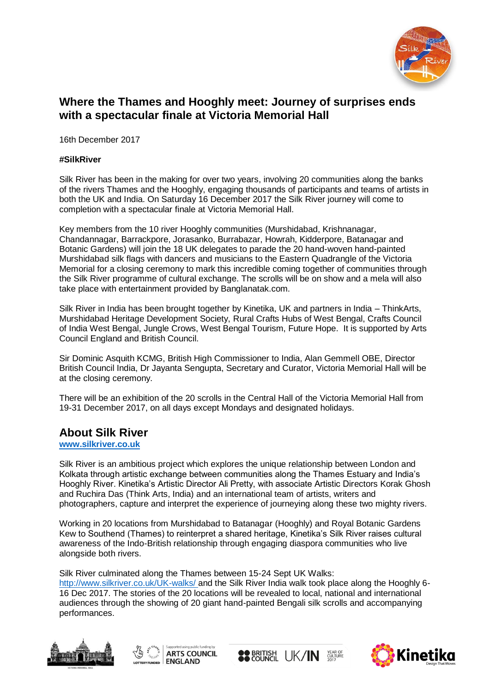

# **Where the Thames and Hooghly meet: Journey of surprises ends with a spectacular finale at Victoria Memorial Hall**

16th December 2017

#### **#SilkRiver**

Silk River has been in the making for over two years, involving 20 communities along the banks of the rivers Thames and the Hooghly, engaging thousands of participants and teams of artists in both the UK and India. On Saturday 16 December 2017 the Silk River journey will come to completion with a spectacular finale at Victoria Memorial Hall.

Key members from the 10 river Hooghly communities (Murshidabad, Krishnanagar, Chandannagar, Barrackpore, Jorasanko, Burrabazar, Howrah, Kidderpore, Batanagar and Botanic Gardens) will join the 18 UK delegates to parade the 20 hand-woven hand-painted Murshidabad silk flags with dancers and musicians to the Eastern Quadrangle of the Victoria Memorial for a closing ceremony to mark this incredible coming together of communities through the Silk River programme of cultural exchange. The scrolls will be on show and a mela will also take place with entertainment provided by Banglanatak.com.

Silk River in India has been brought together by Kinetika, UK and partners in India – ThinkArts, Murshidabad Heritage Development Society, Rural Crafts Hubs of West Bengal, Crafts Council of India West Bengal, Jungle Crows, West Bengal Tourism, Future Hope. It is supported by Arts Council England and British Council.

Sir Dominic Asquith KCMG, British High Commissioner to India, Alan Gemmell OBE, Director British Council India, Dr Jayanta Sengupta, Secretary and Curator, Victoria Memorial Hall will be at the closing ceremony.

There will be an exhibition of the 20 scrolls in the Central Hall of the Victoria Memorial Hall from 19-31 December 2017, on all days except Mondays and designated holidays.

# **About Silk River**

**[www.silkriver.co.uk](http://www.silkriver.co.uk/)**

Silk River is an ambitious project which explores the unique relationship between London and Kolkata through artistic exchange between communities along the Thames Estuary and India's Hooghly River. Kinetika's Artistic Director Ali Pretty, with associate Artistic Directors Korak Ghosh and Ruchira Das (Think Arts, India) and an international team of artists, writers and photographers, capture and interpret the experience of journeying along these two mighty rivers.

Working in 20 locations from Murshidabad to Batanagar (Hooghly) and Royal Botanic Gardens Kew to Southend (Thames) to reinterpret a shared heritage, Kinetika's Silk River raises cultural awareness of the Indo-British relationship through engaging diaspora communities who live alongside both rivers.

Silk River culminated along the Thames between 15-24 Sept UK Walks:

<http://www.silkriver.co.uk/UK-walks/> and the Silk River India walk took place along the Hooghly 6- 16 Dec 2017. The stories of the 20 locations will be revealed to local, national and international audiences through the showing of 20 giant hand-painted Bengali silk scrolls and accompanying performances.







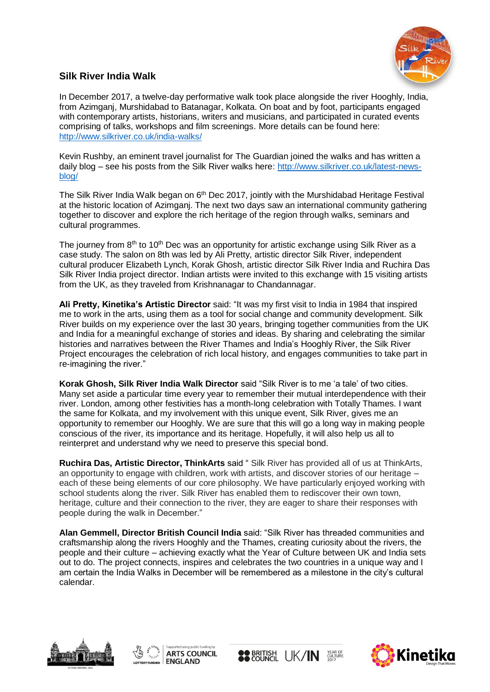

## **Silk River India Walk**

In December 2017, a twelve-day performative walk took place alongside the river Hooghly, India, from Azimganj, Murshidabad to Batanagar, Kolkata. On boat and by foot, participants engaged with contemporary artists, historians, writers and musicians, and participated in curated events comprising of talks, workshops and film screenings. More details can be found here: <http://www.silkriver.co.uk/india-walks/>

Kevin Rushby, an eminent travel journalist for The Guardian joined the walks and has written a daily blog – see his posts from the Silk River walks here: [http://www.silkriver.co.uk/latest-news](http://www.silkriver.co.uk/latest-news-blog/)[blog/](http://www.silkriver.co.uk/latest-news-blog/)

The Silk River India Walk began on 6<sup>th</sup> Dec 2017, jointly with the Murshidabad Heritage Festival at the historic location of Azimganj. The next two days saw an international community gathering together to discover and explore the rich heritage of the region through walks, seminars and cultural programmes.

The journey from  $8<sup>th</sup>$  to 10<sup>th</sup> Dec was an opportunity for artistic exchange using Silk River as a case study. The salon on 8th was led by Ali Pretty, artistic director Silk River, independent cultural producer Elizabeth Lynch, Korak Ghosh, artistic director Silk River India and Ruchira Das Silk River India project director. Indian artists were invited to this exchange with 15 visiting artists from the UK, as they traveled from Krishnanagar to Chandannagar.

**Ali Pretty, Kinetika's Artistic Director** said: "It was my first visit to India in 1984 that inspired me to work in the arts, using them as a tool for social change and community development. Silk River builds on my experience over the last 30 years, bringing together communities from the UK and India for a meaningful exchange of stories and ideas. By sharing and celebrating the similar histories and narratives between the River Thames and India's Hooghly River, the Silk River Project encourages the celebration of rich local history, and engages communities to take part in re-imagining the river."

**Korak Ghosh, Silk River India Walk Director** said "Silk River is to me 'a tale' of two cities. Many set aside a particular time every year to remember their mutual interdependence with their river. London, among other festivities has a month-long celebration with Totally Thames. I want the same for Kolkata, and my involvement with this unique event, Silk River, gives me an opportunity to remember our Hooghly. We are sure that this will go a long way in making people conscious of the river, its importance and its heritage. Hopefully, it will also help us all to reinterpret and understand why we need to preserve this special bond.

**Ruchira Das, Artistic Director, ThinkArts** said " Silk River has provided all of us at ThinkArts, an opportunity to engage with children, work with artists, and discover stories of our heritage – each of these being elements of our core philosophy. We have particularly enjoyed working with school students along the river. Silk River has enabled them to rediscover their own town, heritage, culture and their connection to the river, they are eager to share their responses with people during the walk in December."

**Alan Gemmell, Director British Council India** said: "Silk River has threaded communities and craftsmanship along the rivers Hooghly and the Thames, creating curiosity about the rivers, the people and their culture – achieving exactly what the Year of Culture between UK and India sets out to do. The project connects, inspires and celebrates the two countries in a unique way and I am certain the India Walks in December will be remembered as a milestone in the city's cultural calendar.